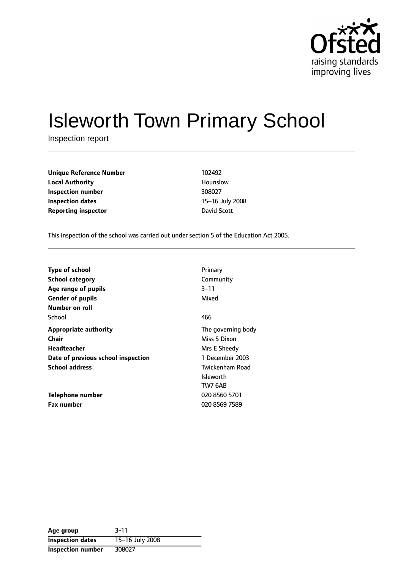

# Isleworth Town Primary School

Inspection report

| <b>Unique Reference Number</b> | 102492       |
|--------------------------------|--------------|
| <b>Local Authority</b>         | Hounslow     |
| Inspection number              | 308027       |
| Inspection dates               | 15-16 July 2 |
| <b>Reporting inspector</b>     | David Scott  |

**Local Authority** Hounslow **Inspection number** 308027 **15-16 July 2008** 

This inspection of the school was carried out under section 5 of the Education Act 2005.

| Type of school                     | Primary            |
|------------------------------------|--------------------|
| <b>School category</b>             | Community          |
| Age range of pupils                | $3 - 11$           |
| <b>Gender of pupils</b>            | Mixed              |
| Number on roll                     |                    |
| School                             | 466                |
| <b>Appropriate authority</b>       | The governing body |
| Chair                              | Miss S Dixon       |
| Headteacher                        | Mrs E Sheedy       |
| Date of previous school inspection | 1 December 2003    |
| <b>School address</b>              | Twickenham Road    |
|                                    | <b>Isleworth</b>   |
|                                    | TW7 6AB            |
| <b>Telephone number</b>            | 020 8560 5701      |
| <b>Fax number</b>                  | 020 8569 7589      |

| Age group                | $3 - 11$        |
|--------------------------|-----------------|
| <b>Inspection dates</b>  | 15-16 July 2008 |
| <b>Inspection number</b> | 308027          |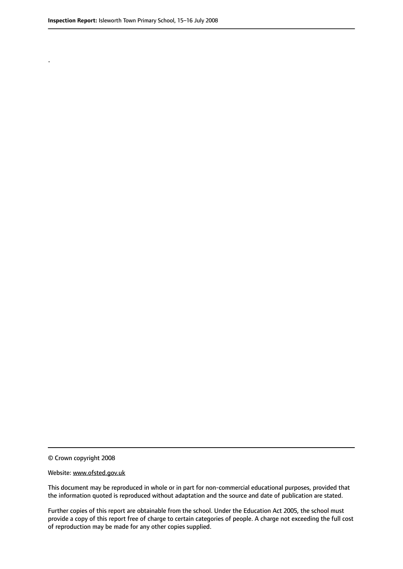.

© Crown copyright 2008

#### Website: www.ofsted.gov.uk

This document may be reproduced in whole or in part for non-commercial educational purposes, provided that the information quoted is reproduced without adaptation and the source and date of publication are stated.

Further copies of this report are obtainable from the school. Under the Education Act 2005, the school must provide a copy of this report free of charge to certain categories of people. A charge not exceeding the full cost of reproduction may be made for any other copies supplied.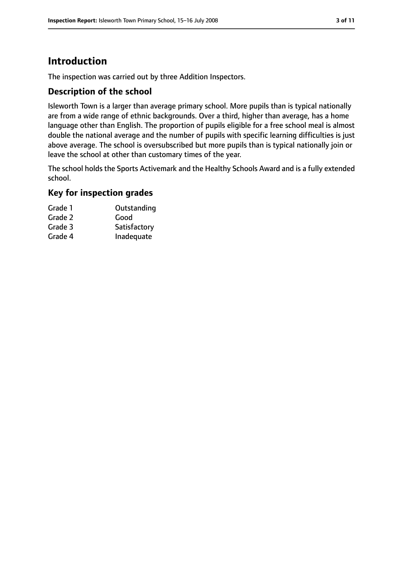# **Introduction**

The inspection was carried out by three Addition Inspectors.

#### **Description of the school**

Isleworth Town is a larger than average primary school. More pupils than is typical nationally are from a wide range of ethnic backgrounds. Over a third, higher than average, has a home language other than English. The proportion of pupils eligible for a free school meal is almost double the national average and the number of pupils with specific learning difficulties is just above average. The school is oversubscribed but more pupils than is typical nationally join or leave the school at other than customary times of the year.

The school holds the Sports Activemark and the Healthy Schools Award and is a fully extended school.

#### **Key for inspection grades**

| Outstanding  |
|--------------|
| Good         |
| Satisfactory |
| Inadequate   |
|              |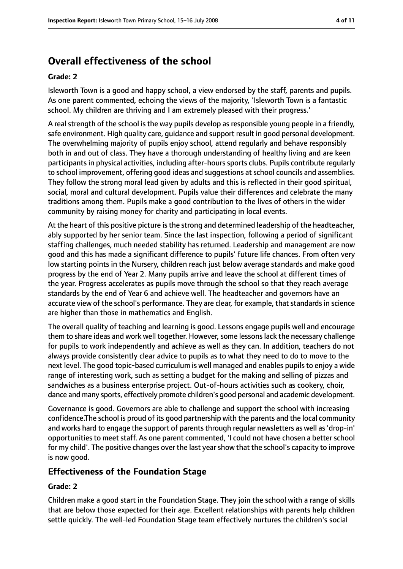# **Overall effectiveness of the school**

#### **Grade: 2**

Isleworth Town is a good and happy school, a view endorsed by the staff, parents and pupils. As one parent commented, echoing the views of the majority, 'Isleworth Town is a fantastic school. My children are thriving and I am extremely pleased with their progress.'

A real strength of the school is the way pupils develop as responsible young people in a friendly, safe environment. High quality care, guidance and support result in good personal development. The overwhelming majority of pupils enjoy school, attend regularly and behave responsibly both in and out of class. They have a thorough understanding of healthy living and are keen participants in physical activities, including after-hours sports clubs. Pupils contribute regularly to school improvement, offering good ideas and suggestions at school councils and assemblies. They follow the strong moral lead given by adults and this is reflected in their good spiritual, social, moral and cultural development. Pupils value their differences and celebrate the many traditions among them. Pupils make a good contribution to the lives of others in the wider community by raising money for charity and participating in local events.

At the heart of this positive picture is the strong and determined leadership of the headteacher, ably supported by her senior team. Since the last inspection, following a period of significant staffing challenges, much needed stability has returned. Leadership and management are now good and this has made a significant difference to pupils' future life chances. From often very low starting points in the Nursery, children reach just below average standards and make good progress by the end of Year 2. Many pupils arrive and leave the school at different times of the year. Progress accelerates as pupils move through the school so that they reach average standards by the end of Year 6 and achieve well. The headteacher and governors have an accurate view of the school's performance. They are clear, for example, that standards in science are higher than those in mathematics and English.

The overall quality of teaching and learning is good. Lessons engage pupils well and encourage them to share ideas and work well together. However, some lessons lack the necessary challenge for pupils to work independently and achieve as well as they can. In addition, teachers do not always provide consistently clear advice to pupils as to what they need to do to move to the next level. The good topic-based curriculum is well managed and enables pupils to enjoy a wide range of interesting work, such as setting a budget for the making and selling of pizzas and sandwiches as a business enterprise project. Out-of-hours activities such as cookery, choir, dance and many sports, effectively promote children's good personal and academic development.

Governance is good. Governors are able to challenge and support the school with increasing confidence.The school is proud of its good partnership with the parents and the local community and works hard to engage the support of parents through regular newsletters as well as 'drop-in' opportunities to meet staff. As one parent commented, 'I could not have chosen a better school for my child'. The positive changes over the last yearshow that the school's capacity to improve is now good.

#### **Effectiveness of the Foundation Stage**

#### **Grade: 2**

Children make a good start in the Foundation Stage. They join the school with a range of skills that are below those expected for their age. Excellent relationships with parents help children settle quickly. The well-led Foundation Stage team effectively nurtures the children's social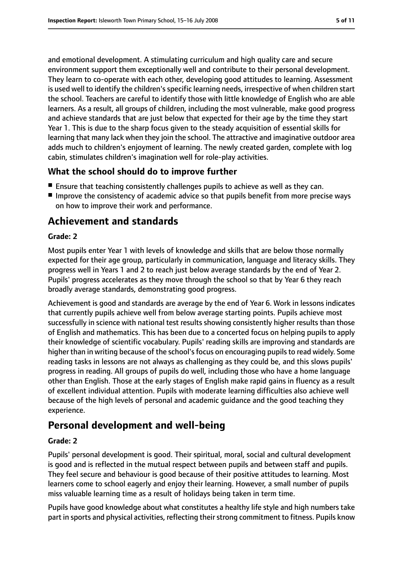and emotional development. A stimulating curriculum and high quality care and secure environment support them exceptionally well and contribute to their personal development. They learn to co-operate with each other, developing good attitudes to learning. Assessment is used well to identify the children's specific learning needs, irrespective of when children start the school. Teachers are careful to identify those with little knowledge of English who are able learners. As a result, all groups of children, including the most vulnerable, make good progress and achieve standards that are just below that expected for their age by the time they start Year 1. This is due to the sharp focus given to the steady acquisition of essential skills for learning that many lack when they join the school. The attractive and imaginative outdoor area adds much to children's enjoyment of learning. The newly created garden, complete with log cabin, stimulates children's imagination well for role-play activities.

## **What the school should do to improve further**

- Ensure that teaching consistently challenges pupils to achieve as well as they can.
- Improve the consistency of academic advice so that pupils benefit from more precise ways on how to improve their work and performance.

## **Achievement and standards**

#### **Grade: 2**

Most pupils enter Year 1 with levels of knowledge and skills that are below those normally expected for their age group, particularly in communication, language and literacy skills. They progress well in Years 1 and 2 to reach just below average standards by the end of Year 2. Pupils' progress accelerates as they move through the school so that by Year 6 they reach broadly average standards, demonstrating good progress.

Achievement is good and standards are average by the end of Year 6. Work in lessons indicates that currently pupils achieve well from below average starting points. Pupils achieve most successfully in science with national test results showing consistently higher results than those of English and mathematics. This has been due to a concerted focus on helping pupils to apply their knowledge of scientific vocabulary. Pupils' reading skills are improving and standards are higher than in writing because of the school's focus on encouraging pupils to read widely. Some reading tasks in lessons are not always as challenging as they could be, and this slows pupils' progress in reading. All groups of pupils do well, including those who have a home language other than English. Those at the early stages of English make rapid gains in fluency as a result of excellent individual attention. Pupils with moderate learning difficulties also achieve well because of the high levels of personal and academic guidance and the good teaching they experience.

## **Personal development and well-being**

#### **Grade: 2**

Pupils' personal development is good. Their spiritual, moral, social and cultural development is good and is reflected in the mutual respect between pupils and between staff and pupils. They feel secure and behaviour is good because of their positive attitudes to learning. Most learners come to school eagerly and enjoy their learning. However, a small number of pupils miss valuable learning time as a result of holidays being taken in term time.

Pupils have good knowledge about what constitutes a healthy life style and high numbers take part in sports and physical activities, reflecting their strong commitment to fitness. Pupils know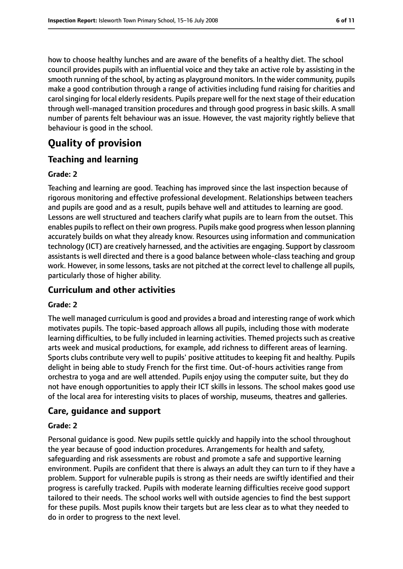how to choose healthy lunches and are aware of the benefits of a healthy diet. The school council provides pupils with an influential voice and they take an active role by assisting in the smooth running of the school, by acting as playground monitors. In the wider community, pupils make a good contribution through a range of activities including fund raising for charities and carol singing for local elderly residents. Pupils prepare well for the next stage of their education through well-managed transition procedures and through good progress in basic skills. A small number of parents felt behaviour was an issue. However, the vast majority rightly believe that behaviour is good in the school.

# **Quality of provision**

## **Teaching and learning**

#### **Grade: 2**

Teaching and learning are good. Teaching has improved since the last inspection because of rigorous monitoring and effective professional development. Relationships between teachers and pupils are good and as a result, pupils behave well and attitudes to learning are good. Lessons are well structured and teachers clarify what pupils are to learn from the outset. This enables pupils to reflect on their own progress. Pupils make good progress when lesson planning accurately builds on what they already know. Resources using information and communication technology (ICT) are creatively harnessed, and the activities are engaging. Support by classroom assistants is well directed and there is a good balance between whole-class teaching and group work. However, in some lessons, tasks are not pitched at the correct level to challenge all pupils, particularly those of higher ability.

## **Curriculum and other activities**

#### **Grade: 2**

The well managed curriculum is good and provides a broad and interesting range of work which motivates pupils. The topic-based approach allows all pupils, including those with moderate learning difficulties, to be fully included in learning activities. Themed projects such as creative arts week and musical productions, for example, add richness to different areas of learning. Sports clubs contribute very well to pupils' positive attitudes to keeping fit and healthy. Pupils delight in being able to study French for the first time. Out-of-hours activities range from orchestra to yoga and are well attended. Pupils enjoy using the computer suite, but they do not have enough opportunities to apply their ICT skills in lessons. The school makes good use of the local area for interesting visits to places of worship, museums, theatres and galleries.

## **Care, guidance and support**

#### **Grade: 2**

Personal guidance is good. New pupils settle quickly and happily into the school throughout the year because of good induction procedures. Arrangements for health and safety, safeguarding and risk assessments are robust and promote a safe and supportive learning environment. Pupils are confident that there is always an adult they can turn to if they have a problem. Support for vulnerable pupils is strong as their needs are swiftly identified and their progress is carefully tracked. Pupils with moderate learning difficulties receive good support tailored to their needs. The school works well with outside agencies to find the best support for these pupils. Most pupils know their targets but are less clear as to what they needed to do in order to progress to the next level.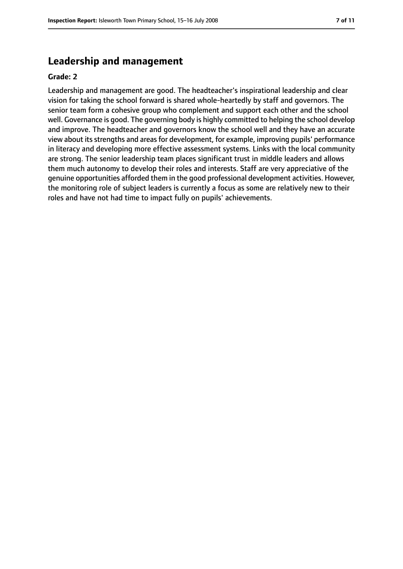## **Leadership and management**

#### **Grade: 2**

Leadership and management are good. The headteacher's inspirational leadership and clear vision for taking the school forward is shared whole-heartedly by staff and governors. The senior team form a cohesive group who complement and support each other and the school well. Governance is good. The governing body is highly committed to helping the school develop and improve. The headteacher and governors know the school well and they have an accurate view about its strengths and areas for development, for example, improving pupils' performance in literacy and developing more effective assessment systems. Links with the local community are strong. The senior leadership team places significant trust in middle leaders and allows them much autonomy to develop their roles and interests. Staff are very appreciative of the genuine opportunities afforded them in the good professional development activities. However, the monitoring role of subject leaders is currently a focus as some are relatively new to their roles and have not had time to impact fully on pupils' achievements.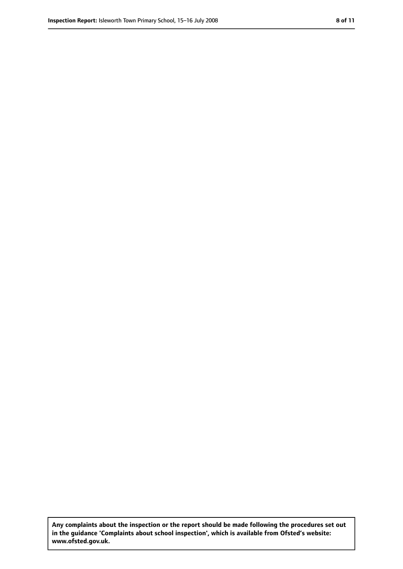**Any complaints about the inspection or the report should be made following the procedures set out in the guidance 'Complaints about school inspection', which is available from Ofsted's website: www.ofsted.gov.uk.**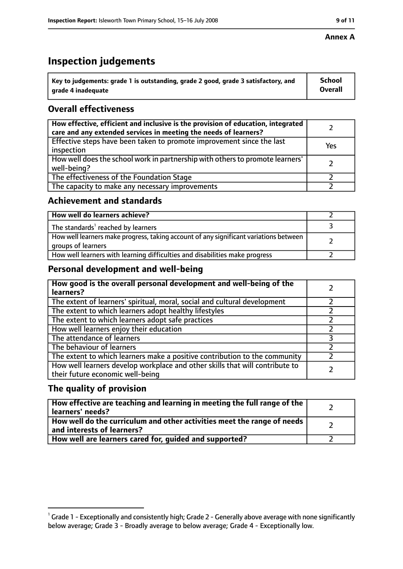# **Inspection judgements**

| $^{\backprime}$ Key to judgements: grade 1 is outstanding, grade 2 good, grade 3 satisfactory, and | <b>School</b>  |
|----------------------------------------------------------------------------------------------------|----------------|
| arade 4 inadequate                                                                                 | <b>Overall</b> |

## **Overall effectiveness**

| How effective, efficient and inclusive is the provision of education, integrated<br>care and any extended services in meeting the needs of learners? |     |
|------------------------------------------------------------------------------------------------------------------------------------------------------|-----|
| Effective steps have been taken to promote improvement since the last<br>inspection                                                                  | Yes |
| How well does the school work in partnership with others to promote learners'<br>well-being?                                                         |     |
| The effectiveness of the Foundation Stage                                                                                                            |     |
| The capacity to make any necessary improvements                                                                                                      |     |

#### **Achievement and standards**

| How well do learners achieve?                                                                               |  |
|-------------------------------------------------------------------------------------------------------------|--|
| The standards <sup>1</sup> reached by learners                                                              |  |
| How well learners make progress, taking account of any significant variations between<br>groups of learners |  |
| How well learners with learning difficulties and disabilities make progress                                 |  |

## **Personal development and well-being**

| How good is the overall personal development and well-being of the<br>learners?                                  |  |
|------------------------------------------------------------------------------------------------------------------|--|
| The extent of learners' spiritual, moral, social and cultural development                                        |  |
| The extent to which learners adopt healthy lifestyles                                                            |  |
| The extent to which learners adopt safe practices                                                                |  |
| How well learners enjoy their education                                                                          |  |
| The attendance of learners                                                                                       |  |
| The behaviour of learners                                                                                        |  |
| The extent to which learners make a positive contribution to the community                                       |  |
| How well learners develop workplace and other skills that will contribute to<br>their future economic well-being |  |

## **The quality of provision**

| How effective are teaching and learning in meeting the full range of the<br>learners' needs?          |  |
|-------------------------------------------------------------------------------------------------------|--|
| How well do the curriculum and other activities meet the range of needs<br>and interests of learners? |  |
| How well are learners cared for, guided and supported?                                                |  |

 $^1$  Grade 1 - Exceptionally and consistently high; Grade 2 - Generally above average with none significantly below average; Grade 3 - Broadly average to below average; Grade 4 - Exceptionally low.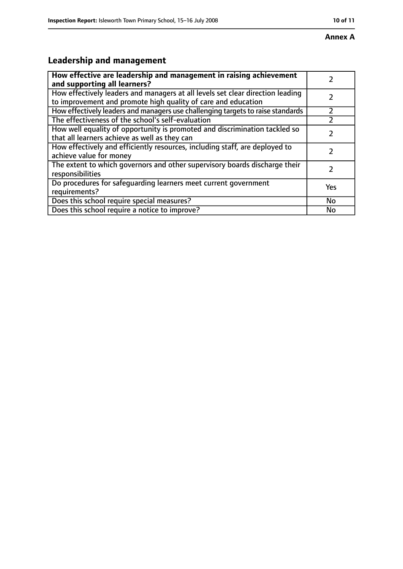# **Leadership and management**

| How effective are leadership and management in raising achievement<br>and supporting all learners?                                              |           |
|-------------------------------------------------------------------------------------------------------------------------------------------------|-----------|
| How effectively leaders and managers at all levels set clear direction leading<br>to improvement and promote high quality of care and education |           |
| How effectively leaders and managers use challenging targets to raise standards                                                                 |           |
| The effectiveness of the school's self-evaluation                                                                                               |           |
| How well equality of opportunity is promoted and discrimination tackled so<br>that all learners achieve as well as they can                     |           |
| How effectively and efficiently resources, including staff, are deployed to<br>achieve value for money                                          |           |
| The extent to which governors and other supervisory boards discharge their<br>responsibilities                                                  |           |
| Do procedures for safequarding learners meet current government<br>requirements?                                                                | Yes       |
| Does this school require special measures?                                                                                                      | <b>No</b> |
| Does this school require a notice to improve?                                                                                                   | No        |